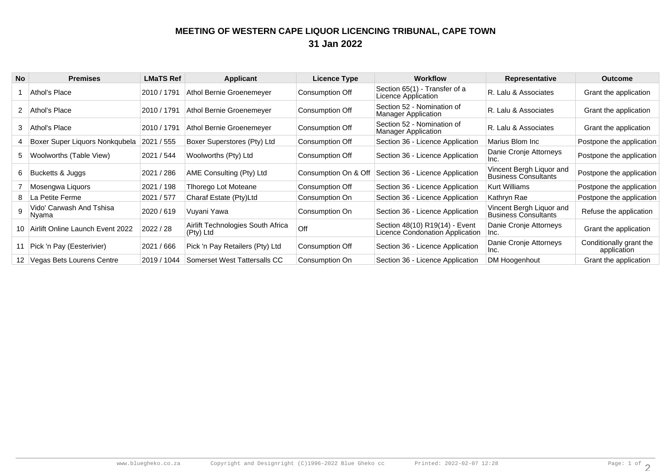## **MEETING OF WESTERN CAPE LIQUOR LICENCING TRIBUNAL, CAPE TOWN31 Jan 2022**

| <b>No</b> | <b>Premises</b>                       | <b>LMaTS Ref</b> | Applicant                                      | <b>Licence Type</b>  | <b>Workflow</b>                                                   | Representative                                          | <b>Outcome</b>                         |
|-----------|---------------------------------------|------------------|------------------------------------------------|----------------------|-------------------------------------------------------------------|---------------------------------------------------------|----------------------------------------|
|           | Athol's Place                         | 2010 / 1791      | Athol Bernie Groenemeyer                       | Consumption Off      | Section 65(1) - Transfer of a<br>Licence Application              | R. Lalu & Associates                                    | Grant the application                  |
| 2         | Athol's Place                         | 2010 / 1791      | Athol Bernie Groenemeyer                       | Consumption Off      | Section 52 - Nomination of<br><b>Manager Application</b>          | R. Lalu & Associates                                    | Grant the application                  |
| 3         | Athol's Place                         | 2010 / 1791      | Athol Bernie Groenemeyer                       | Consumption Off      | Section 52 - Nomination of<br><b>Manager Application</b>          | R. Lalu & Associates                                    | Grant the application                  |
|           | Boxer Super Liquors Nonkqubela        | 2021 / 555       | Boxer Superstores (Pty) Ltd                    | Consumption Off      | Section 36 - Licence Application                                  | Marius Blom Inc                                         | Postpone the application               |
|           | 5   Woolworths (Table View)           | 2021 / 544       | Woolworths (Pty) Ltd                           | Consumption Off      | Section 36 - Licence Application                                  | Danie Cronje Attorneys<br>Inc.                          | Postpone the application               |
| 6.        | Bucketts & Juggs                      | 2021 / 286       | AME Consulting (Pty) Ltd                       | Consumption On & Off | Section 36 - Licence Application                                  | Vincent Bergh Liquor and<br><b>Business Consultants</b> | Postpone the application               |
|           | Mosengwa Liquors                      | 2021 / 198       | Tihorego Lot Moteane                           | Consumption Off      | Section 36 - Licence Application                                  | <b>Kurt Williams</b>                                    | Postpone the application               |
| 8.        | La Petite Ferme                       | 2021 / 577       | Charaf Estate (Pty)Ltd                         | Consumption On       | Section 36 - Licence Application                                  | Kathryn Rae                                             | Postpone the application               |
|           | Vido' Carwash And Tshisa<br>Nyama     | 2020 / 619       | Vuyani Yawa                                    | Consumption On       | Section 36 - Licence Application                                  | Vincent Bergh Liquor and<br><b>Business Consultants</b> | Refuse the application                 |
|           | 10   Airlift Online Launch Event 2022 | 2022 / 28        | Airlift Technologies South Africa<br>(Pty) Ltd | Off                  | Section 48(10) R19(14) - Event<br>Licence Condonation Application | Danie Cronje Attorneys<br>Inc.                          | Grant the application                  |
|           | Pick 'n Pay (Eesterivier)             | 2021 / 666       | Pick 'n Pay Retailers (Pty) Ltd                | Consumption Off      | Section 36 - Licence Application                                  | Danie Cronje Attorneys<br>Inc.                          | Conditionally grant the<br>application |
|           | 12 Vegas Bets Lourens Centre          | 2019 / 1044      | Somerset West Tattersalls CC                   | Consumption On       | Section 36 - Licence Application                                  | DM Hoogenhout                                           | Grant the application                  |